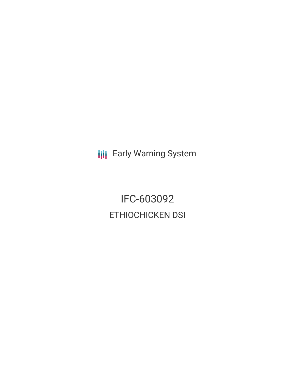**III** Early Warning System

IFC-603092 ETHIOCHICKEN DSI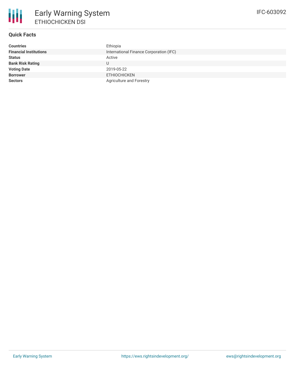

# **Quick Facts**

| <b>Countries</b>              | Ethiopia                                |
|-------------------------------|-----------------------------------------|
| <b>Financial Institutions</b> | International Finance Corporation (IFC) |
| <b>Status</b>                 | Active                                  |
| <b>Bank Risk Rating</b>       | U                                       |
| <b>Voting Date</b>            | 2019-05-22                              |
| <b>Borrower</b>               | <b>ETHIOCHICKEN</b>                     |
| <b>Sectors</b>                | Agriculture and Forestry                |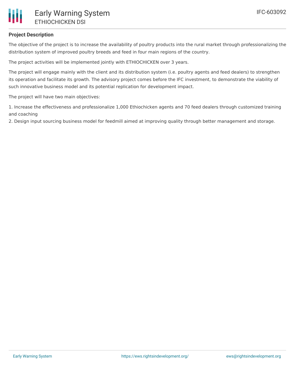## **Project Description**

The objective of the project is to increase the availability of poultry products into the rural market through professionalizing the distribution system of improved poultry breeds and feed in four main regions of the country.

The project activities will be implemented jointly with ETHIOCHICKEN over 3 years.

The project will engage mainly with the client and its distribution system (i.e. poultry agents and feed dealers) to strengthen its operation and facilitate its growth. The advisory project comes before the IFC investment, to demonstrate the viability of such innovative business model and its potential replication for development impact.

The project will have two main objectives:

1. Increase the effectiveness and professionalize 1,000 Ethiochicken agents and 70 feed dealers through customized training and coaching

2. Design input sourcing business model for feedmill aimed at improving quality through better management and storage.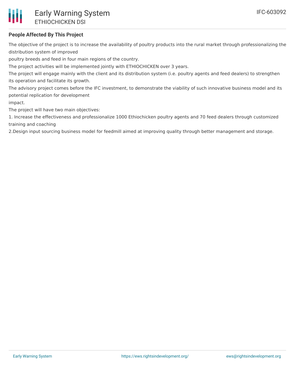# **People Affected By This Project**

The objective of the project is to increase the availability of poultry products into the rural market through professionalizing the distribution system of improved

poultry breeds and feed in four main regions of the country.

The project activities will be implemented jointly with ETHIOCHICKEN over 3 years.

The project will engage mainly with the client and its distribution system (i.e. poultry agents and feed dealers) to strengthen its operation and facilitate its growth.

The advisory project comes before the IFC investment, to demonstrate the viability of such innovative business model and its potential replication for development

impact.

The project will have two main objectives:

1. Increase the effectiveness and professionalize 1000 Ethiochicken poultry agents and 70 feed dealers through customized training and coaching

2.Design input sourcing business model for feedmill aimed at improving quality through better management and storage.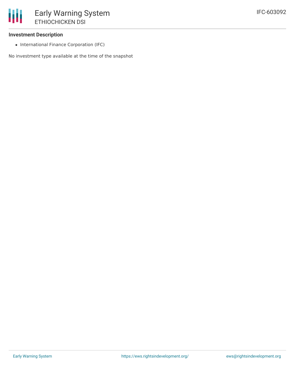## **Investment Description**

• International Finance Corporation (IFC)

No investment type available at the time of the snapshot